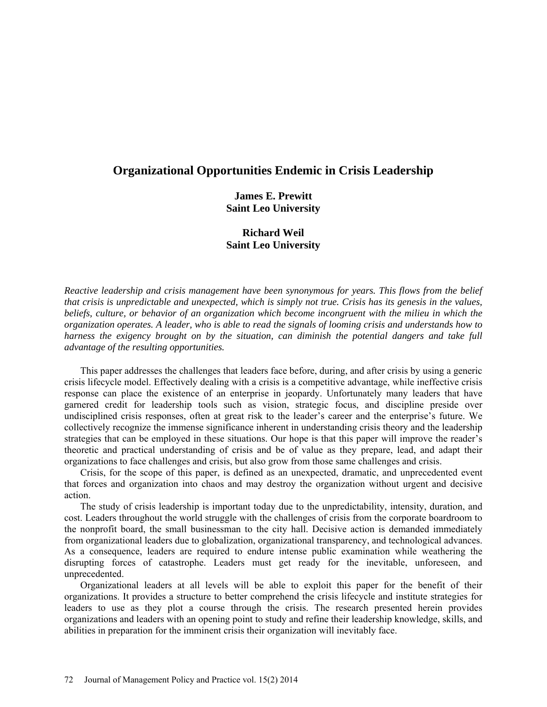# **Organizational Opportunities Endemic in Crisis Leadership**

**James E. Prewitt Saint Leo University**

# **Richard Weil Saint Leo University**

*Reactive leadership and crisis management have been synonymous for years. This flows from the belief that crisis is unpredictable and unexpected, which is simply not true. Crisis has its genesis in the values, beliefs, culture, or behavior of an organization which become incongruent with the milieu in which the organization operates. A leader, who is able to read the signals of looming crisis and understands how to harness the exigency brought on by the situation, can diminish the potential dangers and take full advantage of the resulting opportunities.*

This paper addresses the challenges that leaders face before, during, and after crisis by using a generic crisis lifecycle model. Effectively dealing with a crisis is a competitive advantage, while ineffective crisis response can place the existence of an enterprise in jeopardy. Unfortunately many leaders that have garnered credit for leadership tools such as vision, strategic focus, and discipline preside over undisciplined crisis responses, often at great risk to the leader's career and the enterprise's future. We collectively recognize the immense significance inherent in understanding crisis theory and the leadership strategies that can be employed in these situations. Our hope is that this paper will improve the reader's theoretic and practical understanding of crisis and be of value as they prepare, lead, and adapt their organizations to face challenges and crisis, but also grow from those same challenges and crisis.

Crisis, for the scope of this paper, is defined as an unexpected, dramatic, and unprecedented event that forces and organization into chaos and may destroy the organization without urgent and decisive action.

The study of crisis leadership is important today due to the unpredictability, intensity, duration, and cost. Leaders throughout the world struggle with the challenges of crisis from the corporate boardroom to the nonprofit board, the small businessman to the city hall. Decisive action is demanded immediately from organizational leaders due to globalization, organizational transparency, and technological advances. As a consequence, leaders are required to endure intense public examination while weathering the disrupting forces of catastrophe. Leaders must get ready for the inevitable, unforeseen, and unprecedented.

Organizational leaders at all levels will be able to exploit this paper for the benefit of their organizations. It provides a structure to better comprehend the crisis lifecycle and institute strategies for leaders to use as they plot a course through the crisis. The research presented herein provides organizations and leaders with an opening point to study and refine their leadership knowledge, skills, and abilities in preparation for the imminent crisis their organization will inevitably face.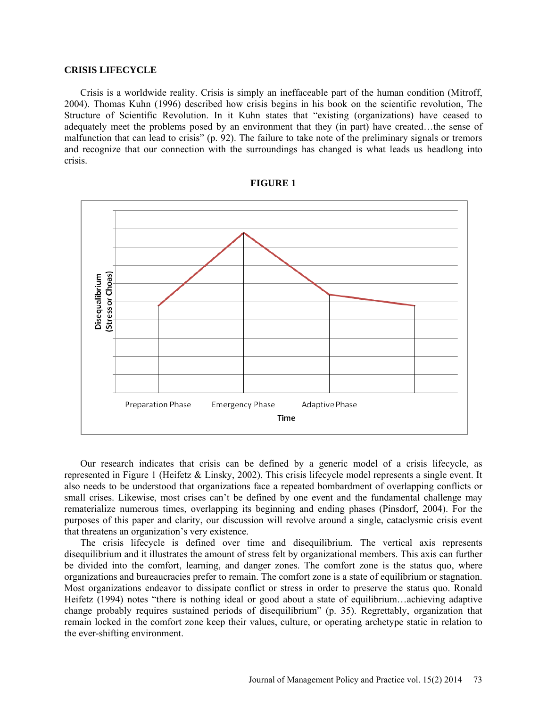# **CRISIS LIFECYCLE**

Crisis is a worldwide reality. Crisis is simply an ineffaceable part of the human condition (Mitroff, 2004). Thomas Kuhn (1996) described how crisis begins in his book on the scientific revolution, The Structure of Scientific Revolution. In it Kuhn states that "existing (organizations) have ceased to adequately meet the problems posed by an environment that they (in part) have created…the sense of malfunction that can lead to crisis" (p. 92). The failure to take note of the preliminary signals or tremors and recognize that our connection with the surroundings has changed is what leads us headlong into crisis.



#### **FIGURE 1**

Our research indicates that crisis can be defined by a generic model of a crisis lifecycle, as represented in Figure 1 (Heifetz & Linsky, 2002). This crisis lifecycle model represents a single event. It also needs to be understood that organizations face a repeated bombardment of overlapping conflicts or small crises. Likewise, most crises can't be defined by one event and the fundamental challenge may rematerialize numerous times, overlapping its beginning and ending phases (Pinsdorf, 2004). For the purposes of this paper and clarity, our discussion will revolve around a single, cataclysmic crisis event that threatens an organization's very existence.

The crisis lifecycle is defined over time and disequilibrium. The vertical axis represents disequilibrium and it illustrates the amount of stress felt by organizational members. This axis can further be divided into the comfort, learning, and danger zones. The comfort zone is the status quo, where organizations and bureaucracies prefer to remain. The comfort zone is a state of equilibrium or stagnation. Most organizations endeavor to dissipate conflict or stress in order to preserve the status quo. Ronald Heifetz (1994) notes "there is nothing ideal or good about a state of equilibrium...achieving adaptive change probably requires sustained periods of disequilibrium" (p. 35). Regrettably, organization that remain locked in the comfort zone keep their values, culture, or operating archetype static in relation to the ever-shifting environment.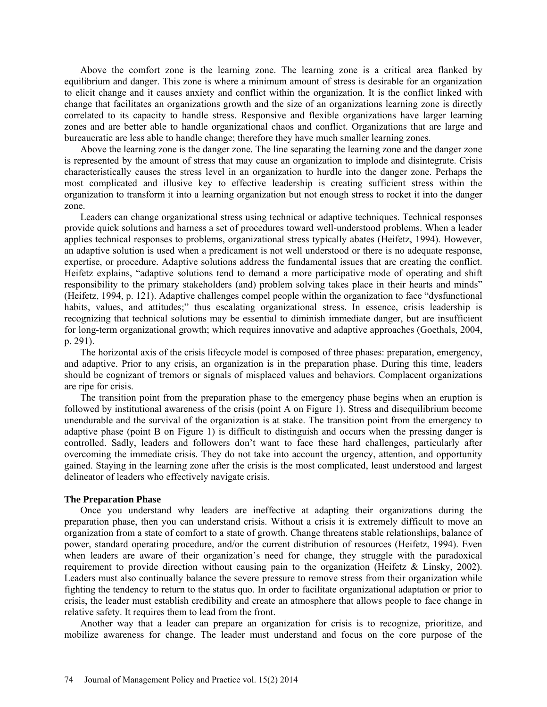Above the comfort zone is the learning zone. The learning zone is a critical area flanked by equilibrium and danger. This zone is where a minimum amount of stress is desirable for an organization to elicit change and it causes anxiety and conflict within the organization. It is the conflict linked with change that facilitates an organizations growth and the size of an organizations learning zone is directly correlated to its capacity to handle stress. Responsive and flexible organizations have larger learning zones and are better able to handle organizational chaos and conflict. Organizations that are large and bureaucratic are less able to handle change; therefore they have much smaller learning zones.

Above the learning zone is the danger zone. The line separating the learning zone and the danger zone is represented by the amount of stress that may cause an organization to implode and disintegrate. Crisis characteristically causes the stress level in an organization to hurdle into the danger zone. Perhaps the most complicated and illusive key to effective leadership is creating sufficient stress within the organization to transform it into a learning organization but not enough stress to rocket it into the danger zone.

Leaders can change organizational stress using technical or adaptive techniques. Technical responses provide quick solutions and harness a set of procedures toward well-understood problems. When a leader applies technical responses to problems, organizational stress typically abates (Heifetz, 1994). However, an adaptive solution is used when a predicament is not well understood or there is no adequate response, expertise, or procedure. Adaptive solutions address the fundamental issues that are creating the conflict. Heifetz explains, "adaptive solutions tend to demand a more participative mode of operating and shift responsibility to the primary stakeholders (and) problem solving takes place in their hearts and minds" (Heifetz, 1994, p. 121). Adaptive challenges compel people within the organization to face "dysfunctional habits, values, and attitudes;" thus escalating organizational stress. In essence, crisis leadership is recognizing that technical solutions may be essential to diminish immediate danger, but are insufficient for long-term organizational growth; which requires innovative and adaptive approaches (Goethals, 2004, p. 291).

The horizontal axis of the crisis lifecycle model is composed of three phases: preparation, emergency, and adaptive. Prior to any crisis, an organization is in the preparation phase. During this time, leaders should be cognizant of tremors or signals of misplaced values and behaviors. Complacent organizations are ripe for crisis.

The transition point from the preparation phase to the emergency phase begins when an eruption is followed by institutional awareness of the crisis (point A on Figure 1). Stress and disequilibrium become unendurable and the survival of the organization is at stake. The transition point from the emergency to adaptive phase (point B on Figure 1) is difficult to distinguish and occurs when the pressing danger is controlled. Sadly, leaders and followers don't want to face these hard challenges, particularly after overcoming the immediate crisis. They do not take into account the urgency, attention, and opportunity gained. Staying in the learning zone after the crisis is the most complicated, least understood and largest delineator of leaders who effectively navigate crisis.

#### **The Preparation Phase**

Once you understand why leaders are ineffective at adapting their organizations during the preparation phase, then you can understand crisis. Without a crisis it is extremely difficult to move an organization from a state of comfort to a state of growth. Change threatens stable relationships, balance of power, standard operating procedure, and/or the current distribution of resources (Heifetz, 1994). Even when leaders are aware of their organization's need for change, they struggle with the paradoxical requirement to provide direction without causing pain to the organization (Heifetz & Linsky, 2002). Leaders must also continually balance the severe pressure to remove stress from their organization while fighting the tendency to return to the status quo. In order to facilitate organizational adaptation or prior to crisis, the leader must establish credibility and create an atmosphere that allows people to face change in relative safety. It requires them to lead from the front.

Another way that a leader can prepare an organization for crisis is to recognize, prioritize, and mobilize awareness for change. The leader must understand and focus on the core purpose of the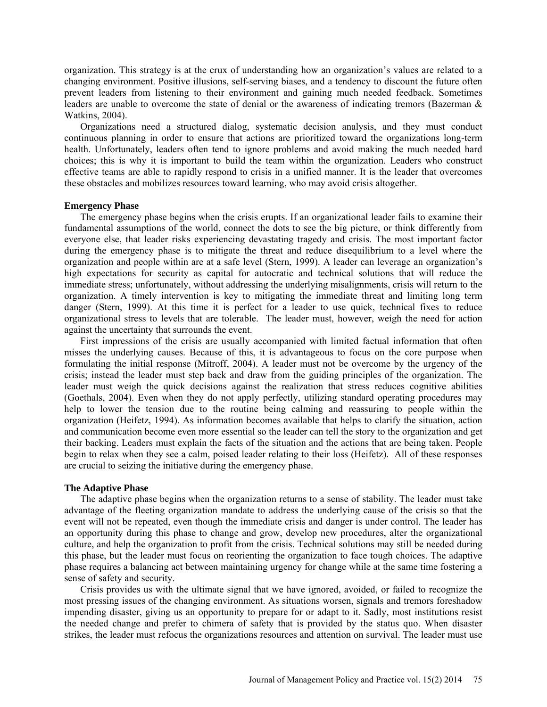organization. This strategy is at the crux of understanding how an organization's values are related to a changing environment. Positive illusions, self-serving biases, and a tendency to discount the future often prevent leaders from listening to their environment and gaining much needed feedback. Sometimes leaders are unable to overcome the state of denial or the awareness of indicating tremors (Bazerman & Watkins, 2004).

Organizations need a structured dialog, systematic decision analysis, and they must conduct continuous planning in order to ensure that actions are prioritized toward the organizations long-term health. Unfortunately, leaders often tend to ignore problems and avoid making the much needed hard choices; this is why it is important to build the team within the organization. Leaders who construct effective teams are able to rapidly respond to crisis in a unified manner. It is the leader that overcomes these obstacles and mobilizes resources toward learning, who may avoid crisis altogether.

# **Emergency Phase**

The emergency phase begins when the crisis erupts. If an organizational leader fails to examine their fundamental assumptions of the world, connect the dots to see the big picture, or think differently from everyone else, that leader risks experiencing devastating tragedy and crisis. The most important factor during the emergency phase is to mitigate the threat and reduce disequilibrium to a level where the organization and people within are at a safe level (Stern, 1999). A leader can leverage an organization's high expectations for security as capital for autocratic and technical solutions that will reduce the immediate stress; unfortunately, without addressing the underlying misalignments, crisis will return to the organization. A timely intervention is key to mitigating the immediate threat and limiting long term danger (Stern, 1999). At this time it is perfect for a leader to use quick, technical fixes to reduce organizational stress to levels that are tolerable. The leader must, however, weigh the need for action against the uncertainty that surrounds the event.

First impressions of the crisis are usually accompanied with limited factual information that often misses the underlying causes. Because of this, it is advantageous to focus on the core purpose when formulating the initial response (Mitroff, 2004). A leader must not be overcome by the urgency of the crisis; instead the leader must step back and draw from the guiding principles of the organization. The leader must weigh the quick decisions against the realization that stress reduces cognitive abilities (Goethals, 2004). Even when they do not apply perfectly, utilizing standard operating procedures may help to lower the tension due to the routine being calming and reassuring to people within the organization (Heifetz, 1994). As information becomes available that helps to clarify the situation, action and communication become even more essential so the leader can tell the story to the organization and get their backing. Leaders must explain the facts of the situation and the actions that are being taken. People begin to relax when they see a calm, poised leader relating to their loss (Heifetz). All of these responses are crucial to seizing the initiative during the emergency phase.

# **The Adaptive Phase**

The adaptive phase begins when the organization returns to a sense of stability. The leader must take advantage of the fleeting organization mandate to address the underlying cause of the crisis so that the event will not be repeated, even though the immediate crisis and danger is under control. The leader has an opportunity during this phase to change and grow, develop new procedures, alter the organizational culture, and help the organization to profit from the crisis. Technical solutions may still be needed during this phase, but the leader must focus on reorienting the organization to face tough choices. The adaptive phase requires a balancing act between maintaining urgency for change while at the same time fostering a sense of safety and security.

Crisis provides us with the ultimate signal that we have ignored, avoided, or failed to recognize the most pressing issues of the changing environment. As situations worsen, signals and tremors foreshadow impending disaster, giving us an opportunity to prepare for or adapt to it. Sadly, most institutions resist the needed change and prefer to chimera of safety that is provided by the status quo. When disaster strikes, the leader must refocus the organizations resources and attention on survival. The leader must use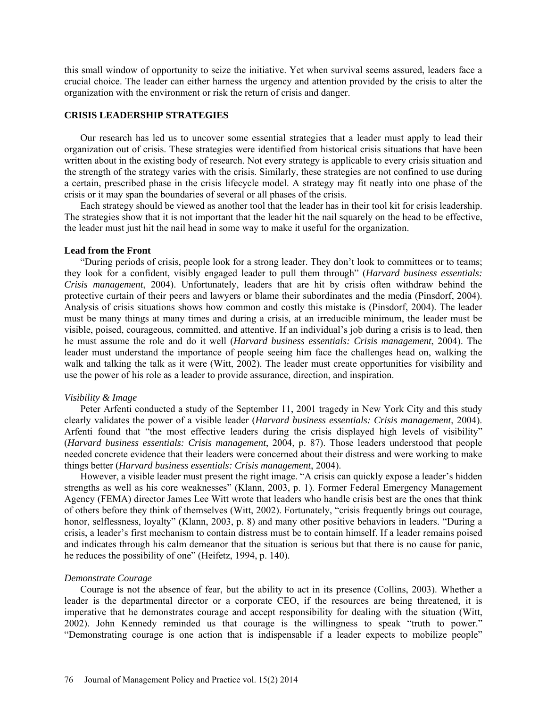this small window of opportunity to seize the initiative. Yet when survival seems assured, leaders face a crucial choice. The leader can either harness the urgency and attention provided by the crisis to alter the organization with the environment or risk the return of crisis and danger.

# **CRISIS LEADERSHIP STRATEGIES**

Our research has led us to uncover some essential strategies that a leader must apply to lead their organization out of crisis. These strategies were identified from historical crisis situations that have been written about in the existing body of research. Not every strategy is applicable to every crisis situation and the strength of the strategy varies with the crisis. Similarly, these strategies are not confined to use during a certain, prescribed phase in the crisis lifecycle model. A strategy may fit neatly into one phase of the crisis or it may span the boundaries of several or all phases of the crisis.

Each strategy should be viewed as another tool that the leader has in their tool kit for crisis leadership. The strategies show that it is not important that the leader hit the nail squarely on the head to be effective, the leader must just hit the nail head in some way to make it useful for the organization.

# **Lead from the Front**

"During periods of crisis, people look for a strong leader. They don't look to committees or to teams; they look for a confident, visibly engaged leader to pull them through" (*Harvard business essentials: Crisis management*, 2004). Unfortunately, leaders that are hit by crisis often withdraw behind the protective curtain of their peers and lawyers or blame their subordinates and the media (Pinsdorf, 2004). Analysis of crisis situations shows how common and costly this mistake is (Pinsdorf, 2004). The leader must be many things at many times and during a crisis, at an irreducible minimum, the leader must be visible, poised, courageous, committed, and attentive. If an individual's job during a crisis is to lead, then he must assume the role and do it well (*Harvard business essentials: Crisis management*, 2004). The leader must understand the importance of people seeing him face the challenges head on, walking the walk and talking the talk as it were (Witt, 2002). The leader must create opportunities for visibility and use the power of his role as a leader to provide assurance, direction, and inspiration.

#### *Visibility & Image*

Peter Arfenti conducted a study of the September 11, 2001 tragedy in New York City and this study clearly validates the power of a visible leader (*Harvard business essentials: Crisis management*, 2004). Arfenti found that "the most effective leaders during the crisis displayed high levels of visibility" (*Harvard business essentials: Crisis management*, 2004, p. 87). Those leaders understood that people needed concrete evidence that their leaders were concerned about their distress and were working to make things better (*Harvard business essentials: Crisis management*, 2004).

However, a visible leader must present the right image. "A crisis can quickly expose a leader's hidden strengths as well as his core weaknesses" (Klann, 2003, p. 1). Former Federal Emergency Management Agency (FEMA) director James Lee Witt wrote that leaders who handle crisis best are the ones that think of others before they think of themselves (Witt, 2002). Fortunately, "crisis frequently brings out courage, honor, selflessness, loyalty" (Klann, 2003, p. 8) and many other positive behaviors in leaders. "During a crisis, a leader's first mechanism to contain distress must be to contain himself. If a leader remains poised and indicates through his calm demeanor that the situation is serious but that there is no cause for panic, he reduces the possibility of one" (Heifetz, 1994, p. 140).

# *Demonstrate Courage*

Courage is not the absence of fear, but the ability to act in its presence (Collins, 2003). Whether a leader is the departmental director or a corporate CEO, if the resources are being threatened, it is imperative that he demonstrates courage and accept responsibility for dealing with the situation (Witt, 2002). John Kennedy reminded us that courage is the willingness to speak "truth to power." "Demonstrating courage is one action that is indispensable if a leader expects to mobilize people"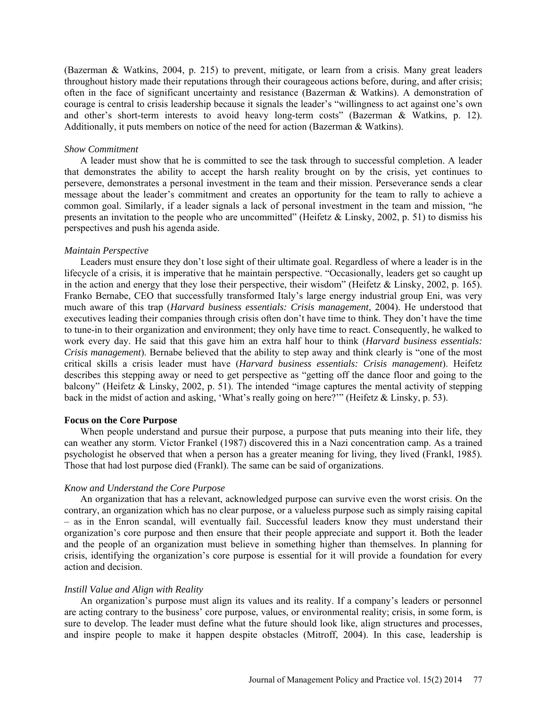(Bazerman & Watkins, 2004, p. 215) to prevent, mitigate, or learn from a crisis. Many great leaders throughout history made their reputations through their courageous actions before, during, and after crisis; often in the face of significant uncertainty and resistance (Bazerman & Watkins). A demonstration of courage is central to crisis leadership because it signals the leader's "willingness to act against one's own and other's short-term interests to avoid heavy long-term costs" (Bazerman & Watkins, p. 12). Additionally, it puts members on notice of the need for action (Bazerman & Watkins).

#### *Show Commitment*

A leader must show that he is committed to see the task through to successful completion. A leader that demonstrates the ability to accept the harsh reality brought on by the crisis, yet continues to persevere, demonstrates a personal investment in the team and their mission. Perseverance sends a clear message about the leader's commitment and creates an opportunity for the team to rally to achieve a common goal. Similarly, if a leader signals a lack of personal investment in the team and mission, "he presents an invitation to the people who are uncommitted" (Heifetz & Linsky, 2002, p. 51) to dismiss his perspectives and push his agenda aside.

#### *Maintain Perspective*

Leaders must ensure they don't lose sight of their ultimate goal. Regardless of where a leader is in the lifecycle of a crisis, it is imperative that he maintain perspective. "Occasionally, leaders get so caught up in the action and energy that they lose their perspective, their wisdom" (Heifetz & Linsky, 2002, p. 165). Franko Bernabe, CEO that successfully transformed Italy's large energy industrial group Eni, was very much aware of this trap (*Harvard business essentials: Crisis management*, 2004). He understood that executives leading their companies through crisis often don't have time to think. They don't have the time to tune-in to their organization and environment; they only have time to react. Consequently, he walked to work every day. He said that this gave him an extra half hour to think (*Harvard business essentials: Crisis management*). Bernabe believed that the ability to step away and think clearly is "one of the most critical skills a crisis leader must have (*Harvard business essentials: Crisis management*). Heifetz describes this stepping away or need to get perspective as "getting off the dance floor and going to the balcony" (Heifetz & Linsky, 2002, p. 51). The intended "image captures the mental activity of stepping back in the midst of action and asking, 'What's really going on here?'" (Heifetz & Linsky, p. 53).

# **Focus on the Core Purpose**

When people understand and pursue their purpose, a purpose that puts meaning into their life, they can weather any storm. Victor Frankel (1987) discovered this in a Nazi concentration camp. As a trained psychologist he observed that when a person has a greater meaning for living, they lived (Frankl, 1985). Those that had lost purpose died (Frankl). The same can be said of organizations.

# *Know and Understand the Core Purpose*

An organization that has a relevant, acknowledged purpose can survive even the worst crisis. On the contrary, an organization which has no clear purpose, or a valueless purpose such as simply raising capital – as in the Enron scandal, will eventually fail. Successful leaders know they must understand their organization's core purpose and then ensure that their people appreciate and support it. Both the leader and the people of an organization must believe in something higher than themselves. In planning for crisis, identifying the organization's core purpose is essential for it will provide a foundation for every action and decision.

#### *Instill Value and Align with Reality*

An organization's purpose must align its values and its reality. If a company's leaders or personnel are acting contrary to the business' core purpose, values, or environmental reality; crisis, in some form, is sure to develop. The leader must define what the future should look like, align structures and processes, and inspire people to make it happen despite obstacles (Mitroff, 2004). In this case, leadership is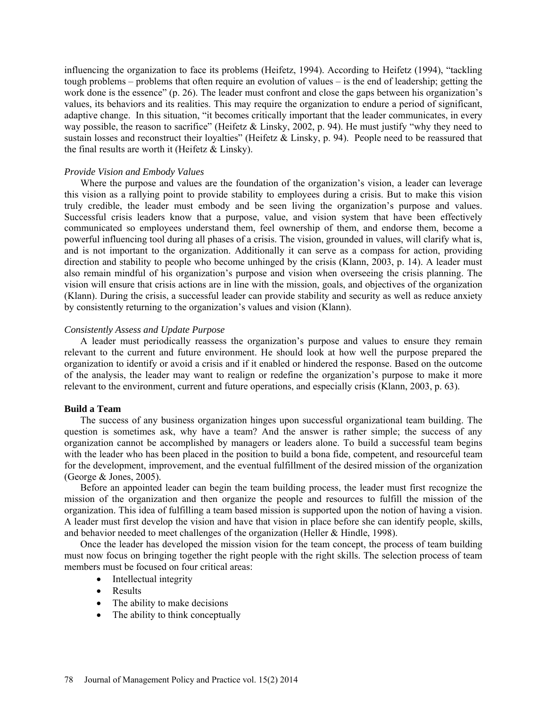influencing the organization to face its problems (Heifetz, 1994). According to Heifetz (1994), "tackling tough problems – problems that often require an evolution of values – is the end of leadership; getting the work done is the essence" (p. 26). The leader must confront and close the gaps between his organization's values, its behaviors and its realities. This may require the organization to endure a period of significant, adaptive change. In this situation, "it becomes critically important that the leader communicates, in every way possible, the reason to sacrifice" (Heifetz & Linsky, 2002, p. 94). He must justify "why they need to sustain losses and reconstruct their loyalties" (Heifetz & Linsky, p. 94). People need to be reassured that the final results are worth it (Heifetz  $&$  Linsky).

# *Provide Vision and Embody Values*

Where the purpose and values are the foundation of the organization's vision, a leader can leverage this vision as a rallying point to provide stability to employees during a crisis. But to make this vision truly credible, the leader must embody and be seen living the organization's purpose and values. Successful crisis leaders know that a purpose, value, and vision system that have been effectively communicated so employees understand them, feel ownership of them, and endorse them, become a powerful influencing tool during all phases of a crisis. The vision, grounded in values, will clarify what is, and is not important to the organization. Additionally it can serve as a compass for action, providing direction and stability to people who become unhinged by the crisis (Klann, 2003, p. 14). A leader must also remain mindful of his organization's purpose and vision when overseeing the crisis planning. The vision will ensure that crisis actions are in line with the mission, goals, and objectives of the organization (Klann). During the crisis, a successful leader can provide stability and security as well as reduce anxiety by consistently returning to the organization's values and vision (Klann).

#### *Consistently Assess and Update Purpose*

A leader must periodically reassess the organization's purpose and values to ensure they remain relevant to the current and future environment. He should look at how well the purpose prepared the organization to identify or avoid a crisis and if it enabled or hindered the response. Based on the outcome of the analysis, the leader may want to realign or redefine the organization's purpose to make it more relevant to the environment, current and future operations, and especially crisis (Klann, 2003, p. 63).

# **Build a Team**

The success of any business organization hinges upon successful organizational team building. The question is sometimes ask, why have a team? And the answer is rather simple; the success of any organization cannot be accomplished by managers or leaders alone. To build a successful team begins with the leader who has been placed in the position to build a bona fide, competent, and resourceful team for the development, improvement, and the eventual fulfillment of the desired mission of the organization (George & Jones, 2005).

Before an appointed leader can begin the team building process, the leader must first recognize the mission of the organization and then organize the people and resources to fulfill the mission of the organization. This idea of fulfilling a team based mission is supported upon the notion of having a vision. A leader must first develop the vision and have that vision in place before she can identify people, skills, and behavior needed to meet challenges of the organization (Heller & Hindle, 1998).

Once the leader has developed the mission vision for the team concept, the process of team building must now focus on bringing together the right people with the right skills. The selection process of team members must be focused on four critical areas:

- Intellectual integrity
- Results
- The ability to make decisions
- The ability to think conceptually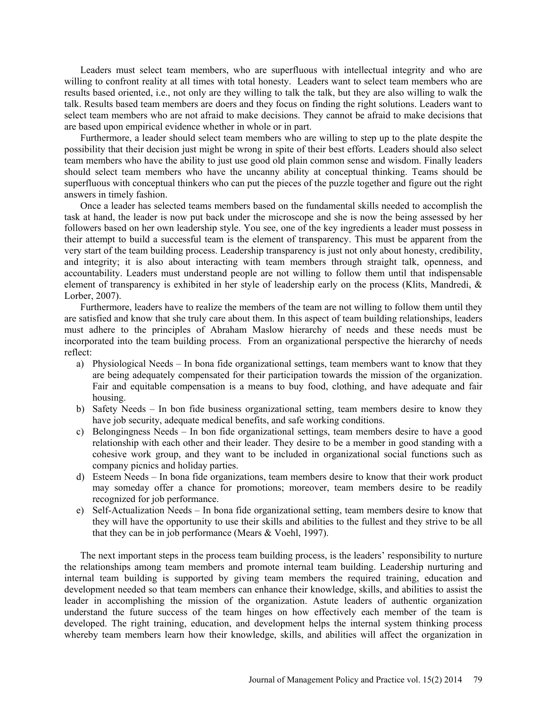Leaders must select team members, who are superfluous with intellectual integrity and who are willing to confront reality at all times with total honesty. Leaders want to select team members who are results based oriented, i.e., not only are they willing to talk the talk, but they are also willing to walk the talk. Results based team members are doers and they focus on finding the right solutions. Leaders want to select team members who are not afraid to make decisions. They cannot be afraid to make decisions that are based upon empirical evidence whether in whole or in part.

Furthermore, a leader should select team members who are willing to step up to the plate despite the possibility that their decision just might be wrong in spite of their best efforts. Leaders should also select team members who have the ability to just use good old plain common sense and wisdom. Finally leaders should select team members who have the uncanny ability at conceptual thinking. Teams should be superfluous with conceptual thinkers who can put the pieces of the puzzle together and figure out the right answers in timely fashion.

Once a leader has selected teams members based on the fundamental skills needed to accomplish the task at hand, the leader is now put back under the microscope and she is now the being assessed by her followers based on her own leadership style. You see, one of the key ingredients a leader must possess in their attempt to build a successful team is the element of transparency. This must be apparent from the very start of the team building process. Leadership transparency is just not only about honesty, credibility, and integrity; it is also about interacting with team members through straight talk, openness, and accountability. Leaders must understand people are not willing to follow them until that indispensable element of transparency is exhibited in her style of leadership early on the process (Klits, Mandredi, & Lorber, 2007).

Furthermore, leaders have to realize the members of the team are not willing to follow them until they are satisfied and know that she truly care about them. In this aspect of team building relationships, leaders must adhere to the principles of Abraham Maslow hierarchy of needs and these needs must be incorporated into the team building process. From an organizational perspective the hierarchy of needs reflect:

- a) Physiological Needs In bona fide organizational settings, team members want to know that they are being adequately compensated for their participation towards the mission of the organization. Fair and equitable compensation is a means to buy food, clothing, and have adequate and fair housing.
- b) Safety Needs In bon fide business organizational setting, team members desire to know they have job security, adequate medical benefits, and safe working conditions.
- c) Belongingness Needs In bon fide organizational settings, team members desire to have a good relationship with each other and their leader. They desire to be a member in good standing with a cohesive work group, and they want to be included in organizational social functions such as company picnics and holiday parties.
- d) Esteem Needs In bona fide organizations, team members desire to know that their work product may someday offer a chance for promotions; moreover, team members desire to be readily recognized for job performance.
- e) Self-Actualization Needs In bona fide organizational setting, team members desire to know that they will have the opportunity to use their skills and abilities to the fullest and they strive to be all that they can be in job performance (Mears & Voehl, 1997).

The next important steps in the process team building process, is the leaders' responsibility to nurture the relationships among team members and promote internal team building. Leadership nurturing and internal team building is supported by giving team members the required training, education and development needed so that team members can enhance their knowledge, skills, and abilities to assist the leader in accomplishing the mission of the organization. Astute leaders of authentic organization understand the future success of the team hinges on how effectively each member of the team is developed. The right training, education, and development helps the internal system thinking process whereby team members learn how their knowledge, skills, and abilities will affect the organization in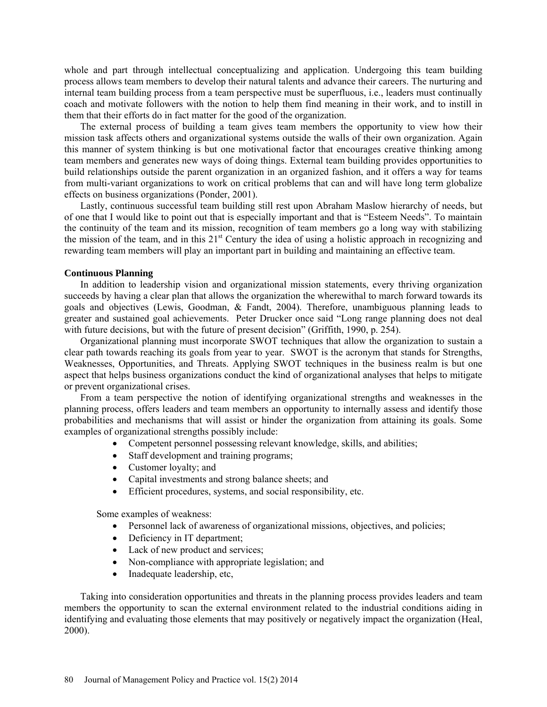whole and part through intellectual conceptualizing and application. Undergoing this team building process allows team members to develop their natural talents and advance their careers. The nurturing and internal team building process from a team perspective must be superfluous, i.e., leaders must continually coach and motivate followers with the notion to help them find meaning in their work, and to instill in them that their efforts do in fact matter for the good of the organization.

The external process of building a team gives team members the opportunity to view how their mission task affects others and organizational systems outside the walls of their own organization. Again this manner of system thinking is but one motivational factor that encourages creative thinking among team members and generates new ways of doing things. External team building provides opportunities to build relationships outside the parent organization in an organized fashion, and it offers a way for teams from multi-variant organizations to work on critical problems that can and will have long term globalize effects on business organizations (Ponder, 2001).

Lastly, continuous successful team building still rest upon Abraham Maslow hierarchy of needs, but of one that I would like to point out that is especially important and that is "Esteem Needs". To maintain the continuity of the team and its mission, recognition of team members go a long way with stabilizing the mission of the team, and in this  $21<sup>st</sup>$  Century the idea of using a holistic approach in recognizing and rewarding team members will play an important part in building and maintaining an effective team.

# **Continuous Planning**

In addition to leadership vision and organizational mission statements, every thriving organization succeeds by having a clear plan that allows the organization the wherewithal to march forward towards its goals and objectives (Lewis, Goodman, & Fandt, 2004). Therefore, unambiguous planning leads to greater and sustained goal achievements. Peter Drucker once said "Long range planning does not deal with future decisions, but with the future of present decision" (Griffith, 1990, p. 254).

Organizational planning must incorporate SWOT techniques that allow the organization to sustain a clear path towards reaching its goals from year to year. SWOT is the acronym that stands for Strengths, Weaknesses, Opportunities, and Threats. Applying SWOT techniques in the business realm is but one aspect that helps business organizations conduct the kind of organizational analyses that helps to mitigate or prevent organizational crises.

From a team perspective the notion of identifying organizational strengths and weaknesses in the planning process, offers leaders and team members an opportunity to internally assess and identify those probabilities and mechanisms that will assist or hinder the organization from attaining its goals. Some examples of organizational strengths possibly include:

- Competent personnel possessing relevant knowledge, skills, and abilities;
- Staff development and training programs;
- Customer loyalty; and
- Capital investments and strong balance sheets; and
- Efficient procedures, systems, and social responsibility, etc.

Some examples of weakness:

- Personnel lack of awareness of organizational missions, objectives, and policies;
- Deficiency in IT department;
- Lack of new product and services;
- Non-compliance with appropriate legislation; and
- Inadequate leadership, etc,

Taking into consideration opportunities and threats in the planning process provides leaders and team members the opportunity to scan the external environment related to the industrial conditions aiding in identifying and evaluating those elements that may positively or negatively impact the organization (Heal, 2000).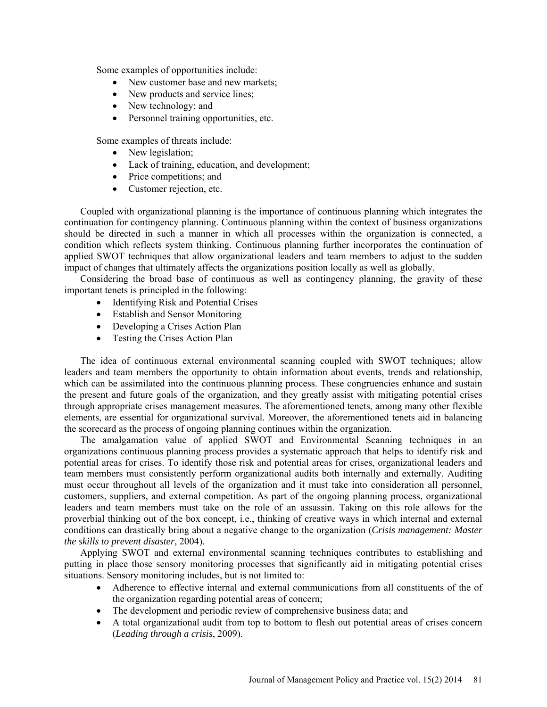Some examples of opportunities include:

- New customer base and new markets;
- New products and service lines;
- New technology; and
- Personnel training opportunities, etc.

Some examples of threats include:

- New legislation;
- Lack of training, education, and development;
- Price competitions; and
- Customer rejection, etc.

Coupled with organizational planning is the importance of continuous planning which integrates the continuation for contingency planning. Continuous planning within the context of business organizations should be directed in such a manner in which all processes within the organization is connected, a condition which reflects system thinking. Continuous planning further incorporates the continuation of applied SWOT techniques that allow organizational leaders and team members to adjust to the sudden impact of changes that ultimately affects the organizations position locally as well as globally.

Considering the broad base of continuous as well as contingency planning, the gravity of these important tenets is principled in the following:

- Identifying Risk and Potential Crises
- Establish and Sensor Monitoring
- Developing a Crises Action Plan
- Testing the Crises Action Plan

The idea of continuous external environmental scanning coupled with SWOT techniques; allow leaders and team members the opportunity to obtain information about events, trends and relationship, which can be assimilated into the continuous planning process. These congruencies enhance and sustain the present and future goals of the organization, and they greatly assist with mitigating potential crises through appropriate crises management measures. The aforementioned tenets, among many other flexible elements, are essential for organizational survival. Moreover, the aforementioned tenets aid in balancing the scorecard as the process of ongoing planning continues within the organization.

The amalgamation value of applied SWOT and Environmental Scanning techniques in an organizations continuous planning process provides a systematic approach that helps to identify risk and potential areas for crises. To identify those risk and potential areas for crises, organizational leaders and team members must consistently perform organizational audits both internally and externally. Auditing must occur throughout all levels of the organization and it must take into consideration all personnel, customers, suppliers, and external competition. As part of the ongoing planning process, organizational leaders and team members must take on the role of an assassin. Taking on this role allows for the proverbial thinking out of the box concept, i.e., thinking of creative ways in which internal and external conditions can drastically bring about a negative change to the organization (*Crisis management: Master the skills to prevent disaster*, 2004).

Applying SWOT and external environmental scanning techniques contributes to establishing and putting in place those sensory monitoring processes that significantly aid in mitigating potential crises situations. Sensory monitoring includes, but is not limited to:

- Adherence to effective internal and external communications from all constituents of the of the organization regarding potential areas of concern;
- The development and periodic review of comprehensive business data; and
- A total organizational audit from top to bottom to flesh out potential areas of crises concern (*Leading through a crisis*, 2009).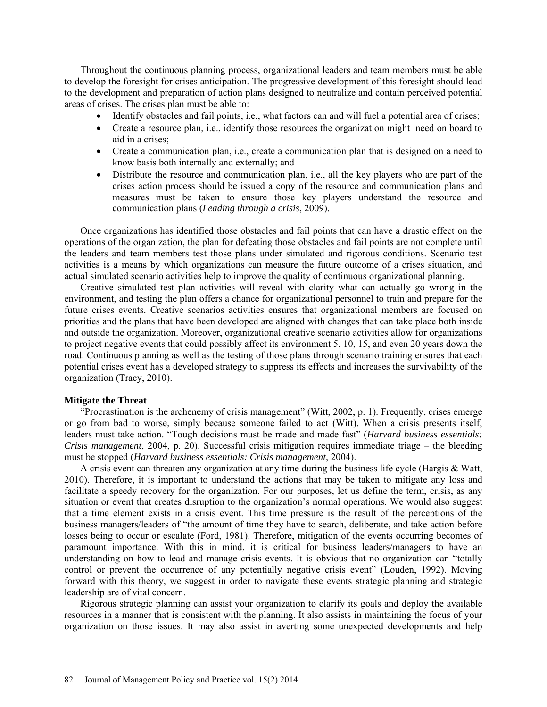Throughout the continuous planning process, organizational leaders and team members must be able to develop the foresight for crises anticipation. The progressive development of this foresight should lead to the development and preparation of action plans designed to neutralize and contain perceived potential areas of crises. The crises plan must be able to:

- Identify obstacles and fail points, i.e., what factors can and will fuel a potential area of crises;
- Create a resource plan, i.e., identify those resources the organization might need on board to aid in a crises;
- Create a communication plan, i.e., create a communication plan that is designed on a need to know basis both internally and externally; and
- Distribute the resource and communication plan, i.e., all the key players who are part of the crises action process should be issued a copy of the resource and communication plans and measures must be taken to ensure those key players understand the resource and communication plans (*Leading through a crisis*, 2009).

Once organizations has identified those obstacles and fail points that can have a drastic effect on the operations of the organization, the plan for defeating those obstacles and fail points are not complete until the leaders and team members test those plans under simulated and rigorous conditions. Scenario test activities is a means by which organizations can measure the future outcome of a crises situation, and actual simulated scenario activities help to improve the quality of continuous organizational planning.

Creative simulated test plan activities will reveal with clarity what can actually go wrong in the environment, and testing the plan offers a chance for organizational personnel to train and prepare for the future crises events. Creative scenarios activities ensures that organizational members are focused on priorities and the plans that have been developed are aligned with changes that can take place both inside and outside the organization. Moreover, organizational creative scenario activities allow for organizations to project negative events that could possibly affect its environment 5, 10, 15, and even 20 years down the road. Continuous planning as well as the testing of those plans through scenario training ensures that each potential crises event has a developed strategy to suppress its effects and increases the survivability of the organization (Tracy, 2010).

#### **Mitigate the Threat**

"Procrastination is the archenemy of crisis management" (Witt, 2002, p. 1). Frequently, crises emerge or go from bad to worse, simply because someone failed to act (Witt). When a crisis presents itself, leaders must take action. "Tough decisions must be made and made fast" (*Harvard business essentials: Crisis management*, 2004, p. 20). Successful crisis mitigation requires immediate triage – the bleeding must be stopped (*Harvard business essentials: Crisis management*, 2004).

A crisis event can threaten any organization at any time during the business life cycle (Hargis & Watt, 2010). Therefore, it is important to understand the actions that may be taken to mitigate any loss and facilitate a speedy recovery for the organization. For our purposes, let us define the term, crisis, as any situation or event that creates disruption to the organization's normal operations. We would also suggest that a time element exists in a crisis event. This time pressure is the result of the perceptions of the business managers/leaders of "the amount of time they have to search, deliberate, and take action before losses being to occur or escalate (Ford, 1981). Therefore, mitigation of the events occurring becomes of paramount importance. With this in mind, it is critical for business leaders/managers to have an understanding on how to lead and manage crisis events. It is obvious that no organization can "totally control or prevent the occurrence of any potentially negative crisis event" (Louden, 1992). Moving forward with this theory, we suggest in order to navigate these events strategic planning and strategic leadership are of vital concern.

Rigorous strategic planning can assist your organization to clarify its goals and deploy the available resources in a manner that is consistent with the planning. It also assists in maintaining the focus of your organization on those issues. It may also assist in averting some unexpected developments and help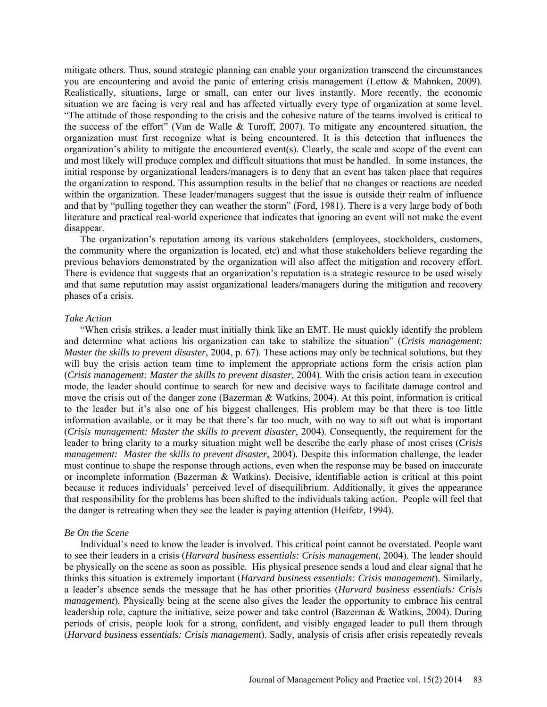mitigate others. Thus, sound strategic planning can enable your organization transcend the circumstances you are encountering and avoid the panic of entering crisis management (Lettow & Mahnken, 2009). Realistically, situations, large or small, can enter our lives instantly. More recently, the economic situation we are facing is very real and has affected virtually every type of organization at some level. "The attitude of those responding to the crisis and the cohesive nature of the teams involved is critical to the success of the effort" (Van de Walle & Turoff, 2007). To mitigate any encountered situation, the organization must first recognize what is being encountered. It is this detection that influences the organization's ability to mitigate the encountered event(s). Clearly, the scale and scope of the event can and most likely will produce complex and difficult situations that must be handled. In some instances, the initial response by organizational leaders/managers is to deny that an event has taken place that requires the organization to respond. This assumption results in the belief that no changes or reactions are needed within the organization. These leader/managers suggest that the issue is outside their realm of influence and that by "pulling together they can weather the storm" (Ford, 1981). There is a very large body of both literature and practical real-world experience that indicates that ignoring an event will not make the event disappear.

The organization's reputation among its various stakeholders (employees, stockholders, customers, the community where the organization is located, etc) and what those stakeholders believe regarding the previous behaviors demonstrated by the organization will also affect the mitigation and recovery effort. There is evidence that suggests that an organization's reputation is a strategic resource to be used wisely and that same reputation may assist organizational leaders/managers during the mitigation and recovery phases of a crisis.

# *Take Action*

"When crisis strikes, a leader must initially think like an EMT. He must quickly identify the problem and determine what actions his organization can take to stabilize the situation" (*Crisis management: Master the skills to prevent disaster*, 2004, p. 67). These actions may only be technical solutions, but they will buy the crisis action team time to implement the appropriate actions form the crisis action plan (*Crisis management: Master the skills to prevent disaster*, 2004). With the crisis action team in execution mode, the leader should continue to search for new and decisive ways to facilitate damage control and move the crisis out of the danger zone (Bazerman & Watkins, 2004). At this point, information is critical to the leader but it's also one of his biggest challenges. His problem may be that there is too little information available, or it may be that there's far too much, with no way to sift out what is important (*Crisis management: Master the skills to prevent disaster*, 2004). Consequently, the requirement for the leader to bring clarity to a murky situation might well be describe the early phase of most crises (*Crisis management: Master the skills to prevent disaster*, 2004). Despite this information challenge, the leader must continue to shape the response through actions, even when the response may be based on inaccurate or incomplete information (Bazerman & Watkins). Decisive, identifiable action is critical at this point because it reduces individuals' perceived level of disequilibrium. Additionally, it gives the appearance that responsibility for the problems has been shifted to the individuals taking action. People will feel that the danger is retreating when they see the leader is paying attention (Heifetz, 1994).

#### *Be On the Scene*

Individual's need to know the leader is involved. This critical point cannot be overstated. People want to see their leaders in a crisis (*Harvard business essentials: Crisis management*, 2004). The leader should be physically on the scene as soon as possible. His physical presence sends a loud and clear signal that he thinks this situation is extremely important (*Harvard business essentials: Crisis management*). Similarly, a leader's absence sends the message that he has other priorities (*Harvard business essentials: Crisis management*). Physically being at the scene also gives the leader the opportunity to embrace his central leadership role, capture the initiative, seize power and take control (Bazerman & Watkins, 2004). During periods of crisis, people look for a strong, confident, and visibly engaged leader to pull them through (*Harvard business essentials: Crisis management*). Sadly, analysis of crisis after crisis repeatedly reveals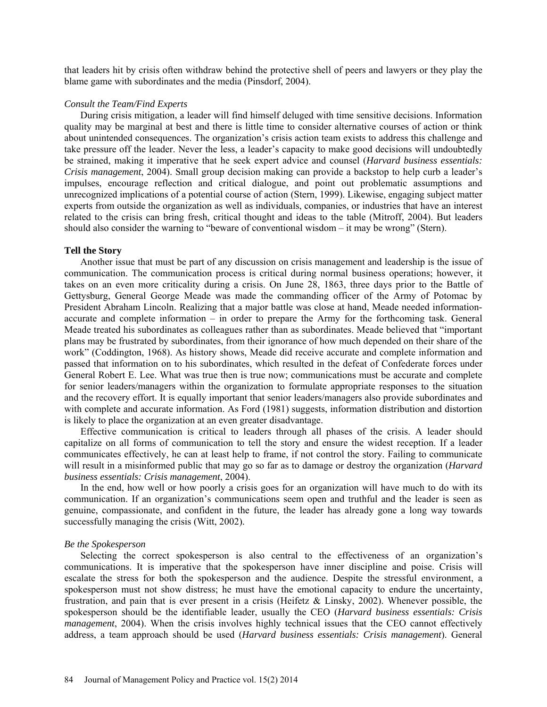that leaders hit by crisis often withdraw behind the protective shell of peers and lawyers or they play the blame game with subordinates and the media (Pinsdorf, 2004).

# *Consult the Team/Find Experts*

During crisis mitigation, a leader will find himself deluged with time sensitive decisions. Information quality may be marginal at best and there is little time to consider alternative courses of action or think about unintended consequences. The organization's crisis action team exists to address this challenge and take pressure off the leader. Never the less, a leader's capacity to make good decisions will undoubtedly be strained, making it imperative that he seek expert advice and counsel (*Harvard business essentials: Crisis management*, 2004). Small group decision making can provide a backstop to help curb a leader's impulses, encourage reflection and critical dialogue, and point out problematic assumptions and unrecognized implications of a potential course of action (Stern, 1999). Likewise, engaging subject matter experts from outside the organization as well as individuals, companies, or industries that have an interest related to the crisis can bring fresh, critical thought and ideas to the table (Mitroff, 2004). But leaders should also consider the warning to "beware of conventional wisdom – it may be wrong" (Stern).

#### **Tell the Story**

Another issue that must be part of any discussion on crisis management and leadership is the issue of communication. The communication process is critical during normal business operations; however, it takes on an even more criticality during a crisis. On June 28, 1863, three days prior to the Battle of Gettysburg, General George Meade was made the commanding officer of the Army of Potomac by President Abraham Lincoln. Realizing that a major battle was close at hand, Meade needed informationaccurate and complete information – in order to prepare the Army for the forthcoming task. General Meade treated his subordinates as colleagues rather than as subordinates. Meade believed that "important plans may be frustrated by subordinates, from their ignorance of how much depended on their share of the work" (Coddington, 1968). As history shows, Meade did receive accurate and complete information and passed that information on to his subordinates, which resulted in the defeat of Confederate forces under General Robert E. Lee. What was true then is true now; communications must be accurate and complete for senior leaders/managers within the organization to formulate appropriate responses to the situation and the recovery effort. It is equally important that senior leaders/managers also provide subordinates and with complete and accurate information. As Ford (1981) suggests, information distribution and distortion is likely to place the organization at an even greater disadvantage.

Effective communication is critical to leaders through all phases of the crisis. A leader should capitalize on all forms of communication to tell the story and ensure the widest reception. If a leader communicates effectively, he can at least help to frame, if not control the story. Failing to communicate will result in a misinformed public that may go so far as to damage or destroy the organization (*Harvard business essentials: Crisis management*, 2004).

In the end, how well or how poorly a crisis goes for an organization will have much to do with its communication. If an organization's communications seem open and truthful and the leader is seen as genuine, compassionate, and confident in the future, the leader has already gone a long way towards successfully managing the crisis (Witt, 2002).

#### *Be the Spokesperson*

Selecting the correct spokesperson is also central to the effectiveness of an organization's communications. It is imperative that the spokesperson have inner discipline and poise. Crisis will escalate the stress for both the spokesperson and the audience. Despite the stressful environment, a spokesperson must not show distress; he must have the emotional capacity to endure the uncertainty, frustration, and pain that is ever present in a crisis (Heifetz & Linsky, 2002). Whenever possible, the spokesperson should be the identifiable leader, usually the CEO (*Harvard business essentials: Crisis management*, 2004). When the crisis involves highly technical issues that the CEO cannot effectively address, a team approach should be used (*Harvard business essentials: Crisis management*). General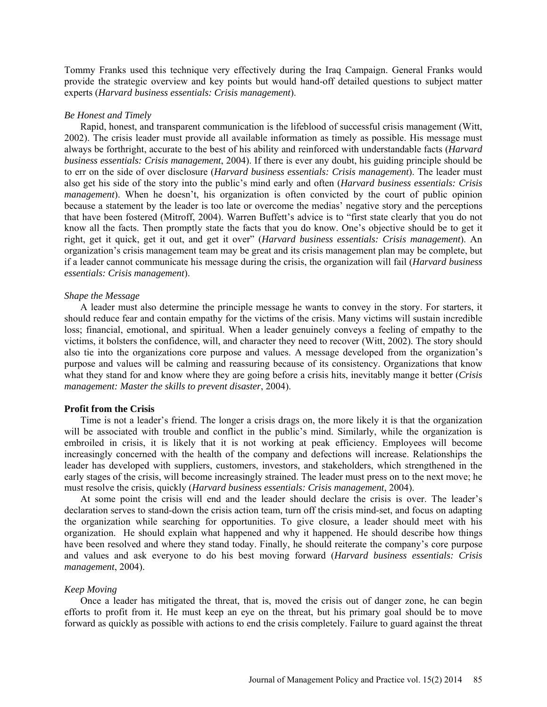Tommy Franks used this technique very effectively during the Iraq Campaign. General Franks would provide the strategic overview and key points but would hand-off detailed questions to subject matter experts (*Harvard business essentials: Crisis management*).

#### *Be Honest and Timely*

Rapid, honest, and transparent communication is the lifeblood of successful crisis management (Witt, 2002). The crisis leader must provide all available information as timely as possible. His message must always be forthright, accurate to the best of his ability and reinforced with understandable facts (*Harvard business essentials: Crisis management*, 2004). If there is ever any doubt, his guiding principle should be to err on the side of over disclosure (*Harvard business essentials: Crisis management*). The leader must also get his side of the story into the public's mind early and often (*Harvard business essentials: Crisis management*). When he doesn't, his organization is often convicted by the court of public opinion because a statement by the leader is too late or overcome the medias' negative story and the perceptions that have been fostered (Mitroff, 2004). Warren Buffett's advice is to "first state clearly that you do not know all the facts. Then promptly state the facts that you do know. One's objective should be to get it right, get it quick, get it out, and get it over" (*Harvard business essentials: Crisis management*). An organization's crisis management team may be great and its crisis management plan may be complete, but if a leader cannot communicate his message during the crisis, the organization will fail (*Harvard business essentials: Crisis management*).

# *Shape the Message*

A leader must also determine the principle message he wants to convey in the story. For starters, it should reduce fear and contain empathy for the victims of the crisis. Many victims will sustain incredible loss; financial, emotional, and spiritual. When a leader genuinely conveys a feeling of empathy to the victims, it bolsters the confidence, will, and character they need to recover (Witt, 2002). The story should also tie into the organizations core purpose and values. A message developed from the organization's purpose and values will be calming and reassuring because of its consistency. Organizations that know what they stand for and know where they are going before a crisis hits, inevitably mange it better (*Crisis management: Master the skills to prevent disaster*, 2004).

# **Profit from the Crisis**

Time is not a leader's friend. The longer a crisis drags on, the more likely it is that the organization will be associated with trouble and conflict in the public's mind. Similarly, while the organization is embroiled in crisis, it is likely that it is not working at peak efficiency. Employees will become increasingly concerned with the health of the company and defections will increase. Relationships the leader has developed with suppliers, customers, investors, and stakeholders, which strengthened in the early stages of the crisis, will become increasingly strained. The leader must press on to the next move; he must resolve the crisis, quickly (*Harvard business essentials: Crisis management*, 2004).

At some point the crisis will end and the leader should declare the crisis is over. The leader's declaration serves to stand-down the crisis action team, turn off the crisis mind-set, and focus on adapting the organization while searching for opportunities. To give closure, a leader should meet with his organization. He should explain what happened and why it happened. He should describe how things have been resolved and where they stand today. Finally, he should reiterate the company's core purpose and values and ask everyone to do his best moving forward (*Harvard business essentials: Crisis management*, 2004).

# *Keep Moving*

Once a leader has mitigated the threat, that is, moved the crisis out of danger zone, he can begin efforts to profit from it. He must keep an eye on the threat, but his primary goal should be to move forward as quickly as possible with actions to end the crisis completely. Failure to guard against the threat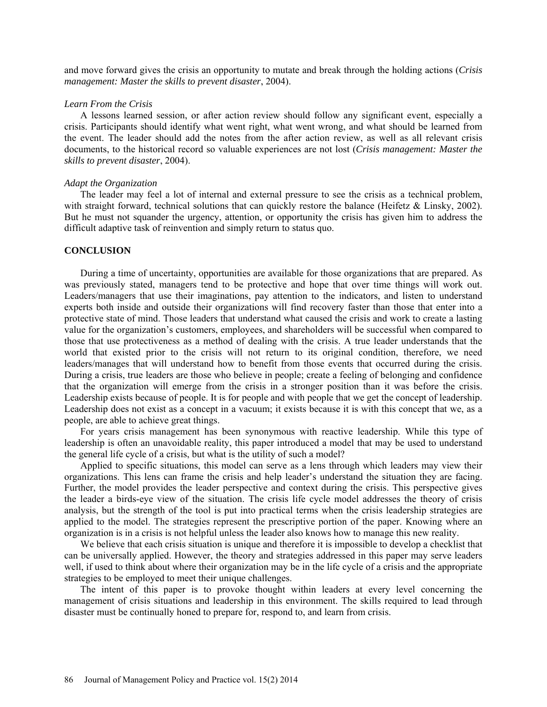and move forward gives the crisis an opportunity to mutate and break through the holding actions (*Crisis management: Master the skills to prevent disaster*, 2004).

# *Learn From the Crisis*

A lessons learned session, or after action review should follow any significant event, especially a crisis. Participants should identify what went right, what went wrong, and what should be learned from the event. The leader should add the notes from the after action review, as well as all relevant crisis documents, to the historical record so valuable experiences are not lost (*Crisis management: Master the skills to prevent disaster*, 2004).

#### *Adapt the Organization*

The leader may feel a lot of internal and external pressure to see the crisis as a technical problem, with straight forward, technical solutions that can quickly restore the balance (Heifetz & Linsky, 2002). But he must not squander the urgency, attention, or opportunity the crisis has given him to address the difficult adaptive task of reinvention and simply return to status quo.

# **CONCLUSION**

During a time of uncertainty, opportunities are available for those organizations that are prepared. As was previously stated, managers tend to be protective and hope that over time things will work out. Leaders/managers that use their imaginations, pay attention to the indicators, and listen to understand experts both inside and outside their organizations will find recovery faster than those that enter into a protective state of mind. Those leaders that understand what caused the crisis and work to create a lasting value for the organization's customers, employees, and shareholders will be successful when compared to those that use protectiveness as a method of dealing with the crisis. A true leader understands that the world that existed prior to the crisis will not return to its original condition, therefore, we need leaders/manages that will understand how to benefit from those events that occurred during the crisis. During a crisis, true leaders are those who believe in people; create a feeling of belonging and confidence that the organization will emerge from the crisis in a stronger position than it was before the crisis. Leadership exists because of people. It is for people and with people that we get the concept of leadership. Leadership does not exist as a concept in a vacuum; it exists because it is with this concept that we, as a people, are able to achieve great things.

For years crisis management has been synonymous with reactive leadership. While this type of leadership is often an unavoidable reality, this paper introduced a model that may be used to understand the general life cycle of a crisis, but what is the utility of such a model?

Applied to specific situations, this model can serve as a lens through which leaders may view their organizations. This lens can frame the crisis and help leader's understand the situation they are facing. Further, the model provides the leader perspective and context during the crisis. This perspective gives the leader a birds-eye view of the situation. The crisis life cycle model addresses the theory of crisis analysis, but the strength of the tool is put into practical terms when the crisis leadership strategies are applied to the model. The strategies represent the prescriptive portion of the paper. Knowing where an organization is in a crisis is not helpful unless the leader also knows how to manage this new reality.

We believe that each crisis situation is unique and therefore it is impossible to develop a checklist that can be universally applied. However, the theory and strategies addressed in this paper may serve leaders well, if used to think about where their organization may be in the life cycle of a crisis and the appropriate strategies to be employed to meet their unique challenges.

The intent of this paper is to provoke thought within leaders at every level concerning the management of crisis situations and leadership in this environment. The skills required to lead through disaster must be continually honed to prepare for, respond to, and learn from crisis.